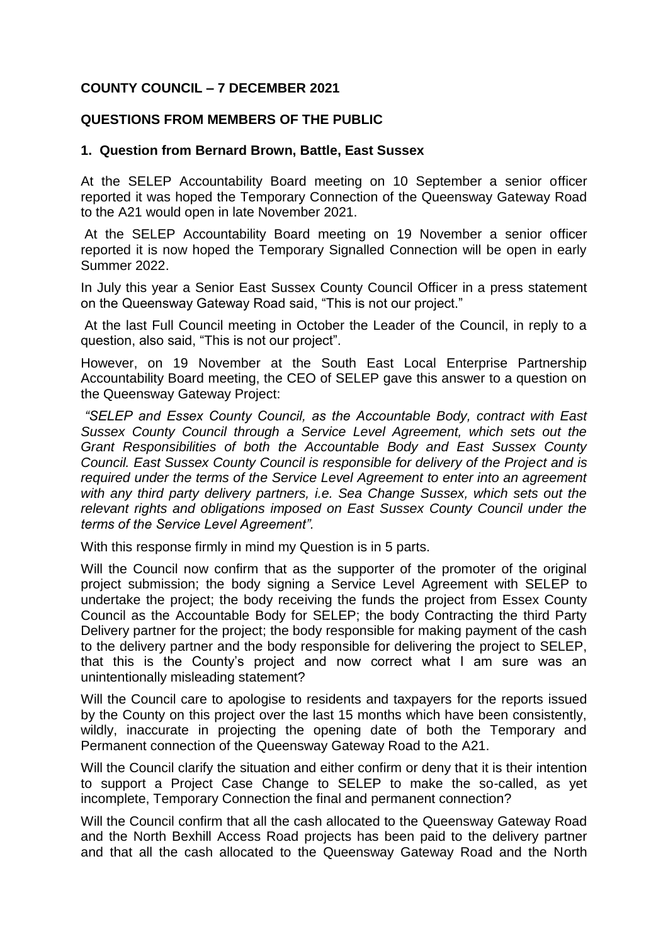## **COUNTY COUNCIL – 7 DECEMBER 2021**

## **QUESTIONS FROM MEMBERS OF THE PUBLIC**

## **1. Question from Bernard Brown, Battle, East Sussex**

At the SELEP Accountability Board meeting on 10 September a senior officer reported it was hoped the Temporary Connection of the Queensway Gateway Road to the A21 would open in late November 2021.

At the SELEP Accountability Board meeting on 19 November a senior officer reported it is now hoped the Temporary Signalled Connection will be open in early Summer 2022.

In July this year a Senior East Sussex County Council Officer in a press statement on the Queensway Gateway Road said, "This is not our project."

At the last Full Council meeting in October the Leader of the Council, in reply to a question, also said, "This is not our project".

However, on 19 November at the South East Local Enterprise Partnership Accountability Board meeting, the CEO of SELEP gave this answer to a question on the Queensway Gateway Project:

*"SELEP and Essex County Council, as the Accountable Body, contract with East Sussex County Council through a Service Level Agreement, which sets out the Grant Responsibilities of both the Accountable Body and East Sussex County Council. East Sussex County Council is responsible for delivery of the Project and is required under the terms of the Service Level Agreement to enter into an agreement with any third party delivery partners, i.e. Sea Change Sussex, which sets out the relevant rights and obligations imposed on East Sussex County Council under the terms of the Service Level Agreement".* 

With this response firmly in mind my Question is in 5 parts.

Will the Council now confirm that as the supporter of the promoter of the original project submission; the body signing a Service Level Agreement with SELEP to undertake the project; the body receiving the funds the project from Essex County Council as the Accountable Body for SELEP; the body Contracting the third Party Delivery partner for the project; the body responsible for making payment of the cash to the delivery partner and the body responsible for delivering the project to SELEP, that this is the County's project and now correct what I am sure was an unintentionally misleading statement?

Will the Council care to apologise to residents and taxpayers for the reports issued by the County on this project over the last 15 months which have been consistently, wildly, inaccurate in projecting the opening date of both the Temporary and Permanent connection of the Queensway Gateway Road to the A21.

Will the Council clarify the situation and either confirm or deny that it is their intention to support a Project Case Change to SELEP to make the so-called, as yet incomplete, Temporary Connection the final and permanent connection?

Will the Council confirm that all the cash allocated to the Queensway Gateway Road and the North Bexhill Access Road projects has been paid to the delivery partner and that all the cash allocated to the Queensway Gateway Road and the North